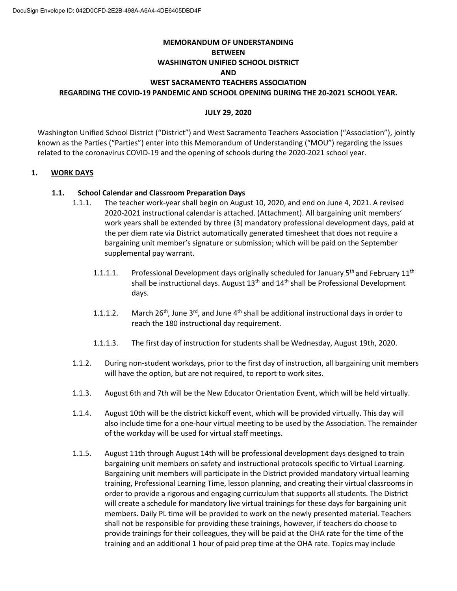# **MEMORANDUM OF UNDERSTANDING BETWEEN WASHINGTON UNIFIED SCHOOL DISTRICT AND WEST SACRAMENTO TEACHERS ASSOCIATION REGARDING THE COVID-19 PANDEMIC AND SCHOOL OPENING DURING THE 20-2021 SCHOOL YEAR.**

# **JULY 29, 2020**

Washington Unified School District ("District") and West Sacramento Teachers Association ("Association"), jointly known as the Parties ("Parties") enter into this Memorandum of Understanding ("MOU") regarding the issues related to the coronavirus COVID-19 and the opening of schools during the 2020-2021 school year.

## **1. WORK DAYS**

## **1.1. School Calendar and Classroom Preparation Days**

- 1.1.1. The teacher work-year shall begin on August 10, 2020, and end on June 4, 2021. A revised 2020-2021 instructional calendar is attached. (Attachment). All bargaining unit members' work years shall be extended by three (3) mandatory professional development days, paid at the per diem rate via District automatically generated timesheet that does not require a bargaining unit member's signature or submission; which will be paid on the September supplemental pay warrant.
	- 1.1.1.1. Professional Development days originally scheduled for January  $5<sup>th</sup>$  and February 11<sup>th</sup> shall be instructional days. August 13<sup>th</sup> and 14<sup>th</sup> shall be Professional Development days.
	- 1.1.1.2. March 26<sup>th</sup>, June 3<sup>rd</sup>, and June 4<sup>th</sup> shall be additional instructional days in order to reach the 180 instructional day requirement.
	- 1.1.1.3. The first day of instruction for students shall be Wednesday, August 19th, 2020.
- 1.1.2. During non-student workdays, prior to the first day of instruction, all bargaining unit members will have the option, but are not required, to report to work sites.
- 1.1.3. August 6th and 7th will be the New Educator Orientation Event, which will be held virtually.
- 1.1.4. August 10th will be the district kickoff event, which will be provided virtually. This day will also include time for a one-hour virtual meeting to be used by the Association. The remainder of the workday will be used for virtual staff meetings.
- 1.1.5. August 11th through August 14th will be professional development days designed to train bargaining unit members on safety and instructional protocols specific to Virtual Learning. Bargaining unit members will participate in the District provided mandatory virtual learning training, Professional Learning Time, lesson planning, and creating their virtual classrooms in order to provide a rigorous and engaging curriculum that supports all students. The District will create a schedule for mandatory live virtual trainings for these days for bargaining unit members. Daily PL time will be provided to work on the newly presented material. Teachers shall not be responsible for providing these trainings, however, if teachers do choose to provide trainings for their colleagues, they will be paid at the OHA rate for the time of the training and an additional 1 hour of paid prep time at the OHA rate. Topics may include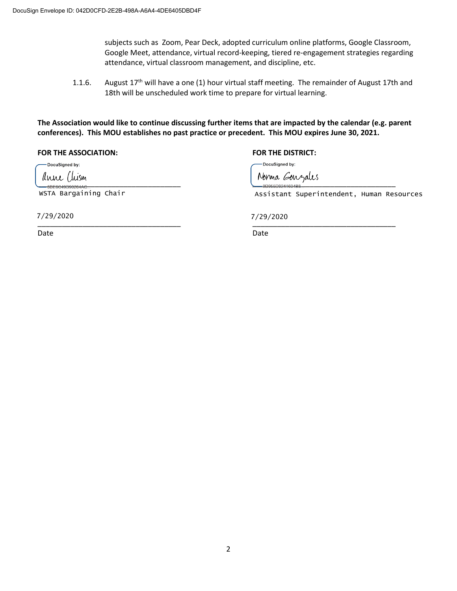subjects such as Zoom, Pear Deck, adopted curriculum online platforms, Google Classroom, Google Meet, attendance, virtual record-keeping, tiered re-engagement strategies regarding attendance, virtual classroom management, and discipline, etc.

1.1.6. August  $17<sup>th</sup>$  will have a one (1) hour virtual staff meeting. The remainder of August 17th and 18th will be unscheduled work time to prepare for virtual learning.

**The Association would like to continue discussing further items that are impacted by the calendar (e.g. parent conferences). This MOU establishes no past practice or precedent. This MOU expires June 30, 2021.**

**FOR THE ASSOCIATION: FOR THE DISTRICT:**

-DocuSigned by:

WSTA Bargaining Chair

\_\_\_\_\_\_\_\_\_\_\_\_\_\_\_\_\_\_\_\_\_\_\_\_\_\_\_\_\_\_\_\_\_\_\_ \_\_\_\_\_\_\_\_\_\_\_\_\_\_\_\_\_\_\_\_\_\_\_\_\_\_\_\_\_\_\_\_\_\_\_ 7/29/2020

Date **Date** Date **Date** Date **Date** Date **Date** 

DocuSigned by:

 $\text{SPF6C400002644C}$ 

Assistant Superintendent, Human Resources

7/29/2020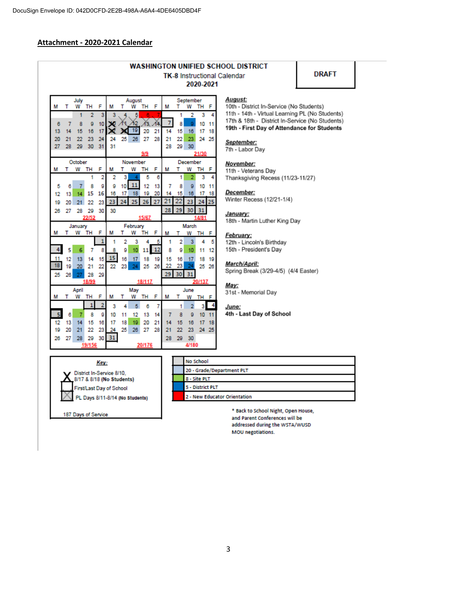## Attachment - 2020-2021 Calendar

|                                 |          |                            |                |                |                                        |                 |                |           |           |                     |          |                |             |             | <b>WASHINGTON UNIFIED SCHOOL DISTRICT</b>                                            |    |  |
|---------------------------------|----------|----------------------------|----------------|----------------|----------------------------------------|-----------------|----------------|-----------|-----------|---------------------|----------|----------------|-------------|-------------|--------------------------------------------------------------------------------------|----|--|
|                                 |          |                            |                |                |                                        |                 |                |           |           |                     |          |                |             |             | <b>TK-8 Instructional Calendar</b>                                                   | DR |  |
|                                 |          |                            |                |                |                                        |                 |                |           |           |                     |          |                | 2020-2021   |             |                                                                                      |    |  |
|                                 |          | July                       |                |                |                                        |                 | August         |           |           |                     |          | September      |             |             | August:                                                                              |    |  |
| м                               | т        | w                          | TH             | F              | м                                      | т               |                | W TH      | F         | м                   | т        | W              | TH          | F           | 10th - District In-Service (No Students)                                             |    |  |
|                                 |          | 1                          | $\overline{2}$ | 3              | 3                                      |                 | 5              |           |           |                     | 1        | 2              | з           | 4           | 11th - 14th - Virtual Learning PL (No St<br>17th & 18th - District In-Service (No St |    |  |
| 6                               | 7        | 8                          | 9              | 10             |                                        |                 | 30 11 12<br>19 | $13 - 14$ |           | 7                   | 8        | ō              | 10          | 11          | 19th - First Day of Attendance for Stu                                               |    |  |
| 13<br>20                        | 14<br>21 | 15<br>22                   | 16<br>23       | 17<br>24       | ×<br>24                                | 18.             | 25 26          | 20<br>27  | 21<br>28  | 14<br>21            | 15<br>22 | 16<br>23.      | 17          | 18<br>24 25 |                                                                                      |    |  |
| 27                              | 28       | 29                         | 30             | 31             | 31                                     |                 |                |           |           | 28                  | 29       | 30             |             |             | September:                                                                           |    |  |
|                                 |          |                            |                |                |                                        |                 |                | 9/9       |           |                     |          |                | 21/30       |             | 7th - Labor Dav                                                                      |    |  |
|                                 |          | October                    |                |                |                                        |                 | November       |           |           |                     |          | December       |             |             | November:                                                                            |    |  |
| м                               | т        |                            | W TH           | F              | м                                      | т               | w              | TH        | F         | М                   | т        | w              | TH F        |             | 11th - Veterans Day                                                                  |    |  |
|                                 |          |                            | 1              | 2              | 2                                      | 3               |                | 5         | 6         |                     | 1        | 2              | 3           | 4           | Thanksgiving Recess (11/23-11/27)                                                    |    |  |
| 5                               | 6        | 7                          | 8              | g              | g                                      | 10              | $11\,$         | 12        | 13        | 7                   | 8        | 9              | 10          | 11          |                                                                                      |    |  |
| 12                              | 13       | 14                         | 15             | 16             | 16                                     | 17              | 18             | 19        | 20        | 14                  | 15       | 16             | 17          | 18          | December:<br>Winter Recess (12/21-1/4)                                               |    |  |
| 19                              | 20       | 21                         | 22             | 23             | 23                                     | 24              |                | 25 26     | 27        | $\overline{21}$     | 22       | 23             |             | 24 25       |                                                                                      |    |  |
| 26                              | 27       | 28                         | 29<br>22/52    | 30             | 30                                     |                 |                | 15/67     |           | 28                  | 29       | 30             | 31<br>14/81 |             | January:                                                                             |    |  |
|                                 |          | January                    |                |                |                                        |                 | February       |           |           |                     |          | March          |             |             | 18th - Martin Luther King Day                                                        |    |  |
| м                               | т        |                            | W TH           | F              | М                                      | т               | w              | TH        | F         | м                   | т        | w              | TH F        |             | February:                                                                            |    |  |
|                                 |          |                            |                | 1              |                                        | 2               | 3              | 4         | 5         | 1                   | 2        | 3              | 4           | 5           | 12th - Lincoln's Birthday                                                            |    |  |
| $\overline{4}$                  | 5        | 6                          | 7              | 8              | 8                                      | g               | 10             | 11        | <b>12</b> | 8                   | g        | 10             | 11          | 12          | 15th - President's Day                                                               |    |  |
| 11                              | 12       | 13                         | 14             | 15             | 15                                     | 16              | 17             | 18        | 19        | 15                  | 16       | 17             | 18          | 19          |                                                                                      |    |  |
| 18                              | 19       | 20                         | 21             | 22             | 22                                     | 23              | 24             | 25        | 26        | 22                  | 23       |                |             | 25 26       | <b>March/April:</b>                                                                  |    |  |
| 25                              | 26       |                            | 28             | 29             |                                        |                 |                |           |           | 29 <sub>1</sub>     |          | 30 31          |             |             | Spring Break (3/29-4/5) (4/4 Easter)                                                 |    |  |
|                                 |          |                            | 18/99          |                |                                        |                 |                | 18/117    |           |                     |          |                | 20/137      |             | Mav:                                                                                 |    |  |
| April<br>F<br>w<br>TH<br>м<br>т |          | May<br>F<br>W TH<br>м<br>т |                |                | June<br>М<br>т<br>W<br>TH <sub>F</sub> |                 |                |           |           | 31st - Memorial Day |          |                |             |             |                                                                                      |    |  |
|                                 |          |                            | 1              | $\overline{2}$ | 3                                      | 4               | 5              | 6         | 7         |                     | 1        | $\overline{2}$ | 3           | 4           |                                                                                      |    |  |
| 5                               | 6        | 7                          | 8              | g              | 10                                     | 11              | 12             | 13        | 14        | 7                   | 8        | g              | 10          | 11          | June:<br>4th - Last Day of School                                                    |    |  |
| 12                              | 13       | 14                         | 15             | 16             | 17                                     | 18              | 19             | 20        | 21        | 14                  | 15       | 16             | 17          | 18          |                                                                                      |    |  |
| 19                              | 20       | 21                         | 22             | 23             | 24                                     | 25              | 26             | 27        | 28        | 21                  | 22       | 23             |             | 24 25       |                                                                                      |    |  |
| 26                              | 27       | 28                         | 29             | 30             | 31                                     |                 |                |           |           | 28                  | 29       | 30             |             |             |                                                                                      |    |  |
| 19/156                          |          |                            |                |                |                                        | 4/180<br>20/176 |                |           |           |                     |          |                |             |             |                                                                                      |    |  |

**DRAFT** 

al Learning PL (No Students) trict In-Service (No Students) of Attendance for Students

Key:

District In-Service 8/10, 8/17 & 8/18 (No Students) First/Last Day of School PL Days 8/11-8/14 (No Students)

#### 187 Days of Service

No School 20 - Grade/Department PLT 8 - Site PLT 5 - District PLT 2 - New Educator Orientation

> \* Back to School Night, Open House, and Parent Conferences will be addressed during the WSTA/WUSD MOU negotiations.